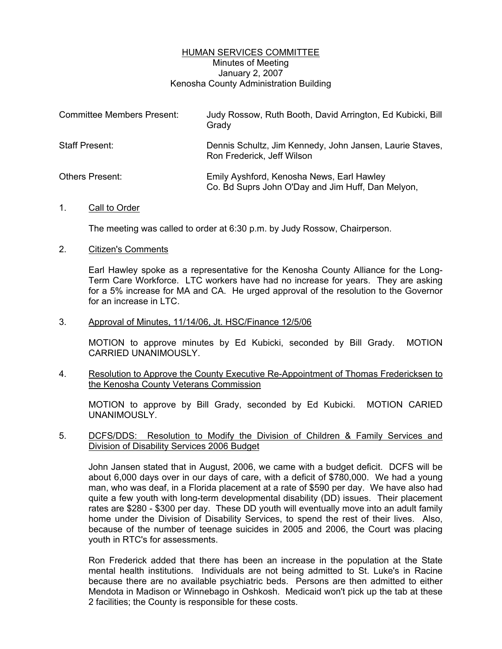# HUMAN SERVICES COMMITTEE Minutes of Meeting January 2, 2007 Kenosha County Administration Building

| <b>Committee Members Present:</b> | Judy Rossow, Ruth Booth, David Arrington, Ed Kubicki, Bill<br>Grady                            |
|-----------------------------------|------------------------------------------------------------------------------------------------|
| Staff Present:                    | Dennis Schultz, Jim Kennedy, John Jansen, Laurie Staves,<br>Ron Frederick, Jeff Wilson         |
| <b>Others Present:</b>            | Emily Ayshford, Kenosha News, Earl Hawley<br>Co. Bd Suprs John O'Day and Jim Huff, Dan Melyon, |

### 1. Call to Order

The meeting was called to order at 6:30 p.m. by Judy Rossow, Chairperson.

#### 2. Citizen's Comments

Earl Hawley spoke as a representative for the Kenosha County Alliance for the Long-Term Care Workforce. LTC workers have had no increase for years. They are asking for a 5% increase for MA and CA. He urged approval of the resolution to the Governor for an increase in LTC.

#### 3. Approval of Minutes, 11/14/06, Jt. HSC/Finance 12/5/06

MOTION to approve minutes by Ed Kubicki, seconded by Bill Grady. MOTION CARRIED UNANIMOUSLY.

# 4. Resolution to Approve the County Executive Re-Appointment of Thomas Fredericksen to the Kenosha County Veterans Commission

MOTION to approve by Bill Grady, seconded by Ed Kubicki. MOTION CARIED UNANIMOUSLY.

# 5. DCFS/DDS: Resolution to Modify the Division of Children & Family Services and Division of Disability Services 2006 Budget

John Jansen stated that in August, 2006, we came with a budget deficit. DCFS will be about 6,000 days over in our days of care, with a deficit of \$780,000. We had a young man, who was deaf, in a Florida placement at a rate of \$590 per day. We have also had quite a few youth with long-term developmental disability (DD) issues. Their placement rates are \$280 - \$300 per day. These DD youth will eventually move into an adult family home under the Division of Disability Services, to spend the rest of their lives. Also, because of the number of teenage suicides in 2005 and 2006, the Court was placing youth in RTC's for assessments.

Ron Frederick added that there has been an increase in the population at the State mental health institutions. Individuals are not being admitted to St. Luke's in Racine because there are no available psychiatric beds. Persons are then admitted to either Mendota in Madison or Winnebago in Oshkosh. Medicaid won't pick up the tab at these 2 facilities; the County is responsible for these costs.